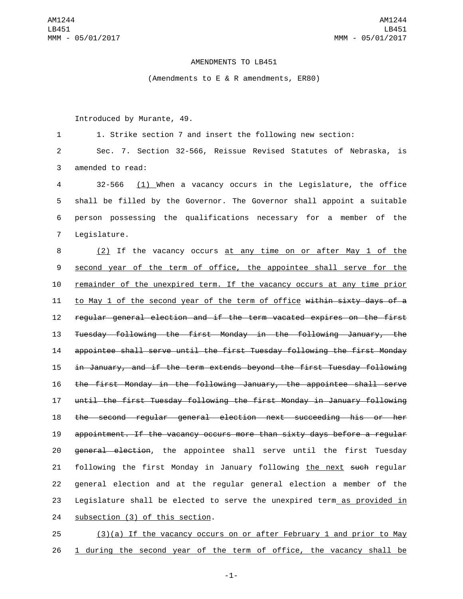## AMENDMENTS TO LB451

(Amendments to E & R amendments, ER80)

Introduced by Murante, 49.

1 1. Strike section 7 and insert the following new section:

2 Sec. 7. Section 32-566, Reissue Revised Statutes of Nebraska, is 3 amended to read:

 32-566 (1) When a vacancy occurs in the Legislature, the office shall be filled by the Governor. The Governor shall appoint a suitable person possessing the qualifications necessary for a member of the 7 Legislature.

 (2) If the vacancy occurs at any time on or after May 1 of the second year of the term of office, the appointee shall serve for the remainder of the unexpired term. If the vacancy occurs at any time prior 11 to May 1 of the second year of the term of office within sixty days of a regular general election and if the term vacated expires on the first Tuesday following the first Monday in the following January, the appointee shall serve until the first Tuesday following the first Monday in January, and if the term extends beyond the first Tuesday following the first Monday in the following January, the appointee shall serve until the first Tuesday following the first Monday in January following the second regular general election next succeeding his or her appointment. If the vacancy occurs more than sixty days before a regular 20 general election, the appointee shall serve until the first Tuesday 21 following the first Monday in January following the next such regular general election and at the regular general election a member of the Legislature shall be elected to serve the unexpired term as provided in 24 subsection (3) of this section.

25 (3)(a) If the vacancy occurs on or after February 1 and prior to May 26 1 during the second year of the term of office, the vacancy shall be

-1-